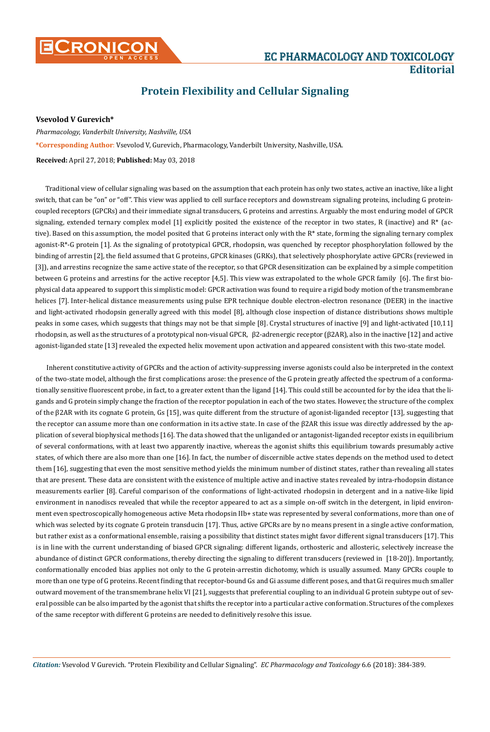# **Protein Flexibility and Cellular Signaling**

## **Vsevolod V Gurevich\***

*Pharmacology, Vanderbilt University, Nashville, USA* **\*Corresponding Author**: Vsevolod V, Gurevich, Pharmacology, Vanderbilt University, Nashville, USA.

### **Received:** April 27, 2018; **Published:** May 03, 2018

Traditional view of cellular signaling was based on the assumption that each protein has only two states, active an inactive, like a light switch, that can be "on" or "off". This view was applied to cell surface receptors and downstream signaling proteins, including G proteincoupled receptors (GPCRs) and their immediate signal transducers, G proteins and arrestins. Arguably the most enduring model of GPCR signaling, extended ternary complex model [1] explicitly posited the existence of the receptor in two states, R (inactive) and R\* (active). Based on this assumption, the model posited that G proteins interact only with the R\* state, forming the signaling ternary complex agonist-R\*-G protein [1]. As the signaling of prototypical GPCR, rhodopsin, was quenched by receptor phosphorylation followed by the binding of arrestin [2], the field assumed that G proteins, GPCR kinases (GRKs), that selectively phosphorylate active GPCRs (reviewed in [3]), and arrestins recognize the same active state of the receptor, so that GPCR desensitization can be explained by a simple competition between G proteins and arrestins for the active receptor [4,5]. This view was extrapolated to the whole GPCR family [6]. The first biophysical data appeared to support this simplistic model: GPCR activation was found to require a rigid body motion of the transmembrane helices [7]. Inter-helical distance measurements using pulse EPR technique double electron-electron resonance (DEER) in the inactive and light-activated rhodopsin generally agreed with this model [8], although close inspection of distance distributions shows multiple peaks in some cases, which suggests that things may not be that simple [8]. Crystal structures of inactive [9] and light-activated [10,11] rhodopsin, as well as the structures of a prototypical non-visual GPCR, β2-adrenergic receptor (β2AR), also in the inactive [12] and active agonist-liganded state [13] revealed the expected helix movement upon activation and appeared consistent with this two-state model.

Inherent constitutive activity of GPCRs and the action of activity-suppressing inverse agonists could also be interpreted in the context of the two-state model, although the first complications arose: the presence of the G protein greatly affected the spectrum of a conformationally sensitive fluorescent probe, in fact, to a greater extent than the ligand [14]. This could still be accounted for by the idea that the ligands and G protein simply change the fraction of the receptor population in each of the two states. However, the structure of the complex of the β2AR with its cognate G protein, Gs [15], was quite different from the structure of agonist-liganded receptor [13], suggesting that the receptor can assume more than one conformation in its active state. In case of the β2AR this issue was directly addressed by the application of several biophysical methods [16]. The data showed that the unliganded or antagonist-liganded receptor exists in equilibrium of several conformations, with at least two apparently inactive, whereas the agonist shifts this equilibrium towards presumably active states, of which there are also more than one [16]. In fact, the number of discernible active states depends on the method used to detect them [16], suggesting that even the most sensitive method yields the minimum number of distinct states, rather than revealing all states that are present. These data are consistent with the existence of multiple active and inactive states revealed by intra-rhodopsin distance measurements earlier [8]. Careful comparison of the conformations of light-activated rhodopsin in detergent and in a native-like lipid environment in nanodiscs revealed that while the receptor appeared to act as a simple on-off switch in the detergent, in lipid environment even spectroscopically homogeneous active Meta rhodopsin IIb+ state was represented by several conformations, more than one of which was selected by its cognate G protein transducin [17]. Thus, active GPCRs are by no means present in a single active conformation, but rather exist as a conformational ensemble, raising a possibility that distinct states might favor different signal transducers [17]. This is in line with the current understanding of biased GPCR signaling: different ligands, orthosteric and allosteric, selectively increase the abundance of distinct GPCR conformations, thereby directing the signaling to different transducers (reviewed in [18-20]). Importantly, conformationally encoded bias applies not only to the G protein-arrestin dichotomy, which is usually assumed. Many GPCRs couple to more than one type of G proteins. Recent finding that receptor-bound Gs and Gi assume different poses, and that Gi requires much smaller outward movement of the transmembrane helix VI [21], suggests that preferential coupling to an individual G protein subtype out of several possible can be also imparted by the agonist that shifts the receptor into a particular active conformation. Structures of the complexes of the same receptor with different G proteins are needed to definitively resolve this issue.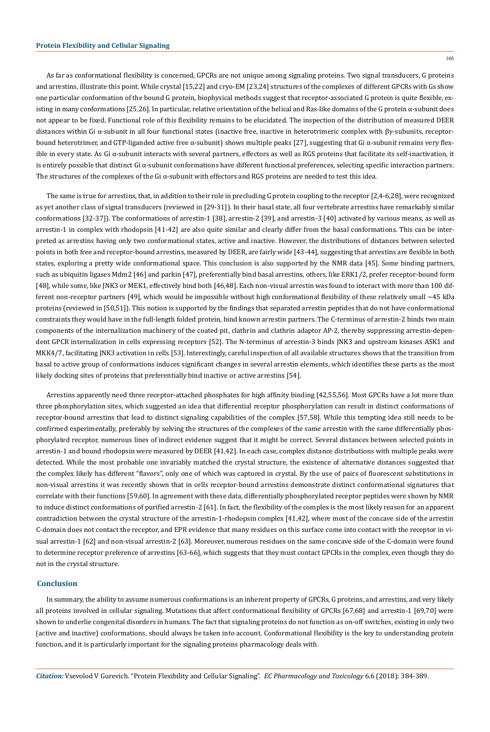As far as conformational flexibility is concerned, GPCRs are not unique among signaling proteins. Two signal transducers, G proteins and arrestins, illustrate this point. While crystal [15,22] and cryo-EM [23,24] structures of the complexes of different GPCRs with Gs show one particular conformation of the bound G protein, biophysical methods suggest that receptor-associated G protein is quite flexible, existing in many conformations [25,26]. In particular, relative orientation of the helical and Ras-like domains of the G protein  $\alpha$ -subunit does not appear to be fixed. Functional role of this flexibility remains to be elucidated. The inspection of the distribution of measured DEER distances within Gi α-subunit in all four functional states (inactive free, inactive in heterotrimeric complex with βγ-subunits, receptorbound heterotrimer, and GTP-liganded active free  $\alpha$ -subunit) shows multiple peaks [27], suggesting that Gi  $\alpha$ -subunit remains very flexible in every state. As Gi α-subunit interacts with several partners, effectors as well as RGS proteins that facilitate its self-inactivation, it is entirely possible that distinct Gi α-subunit conformations have different functional preferences, selecting specific interaction partners. The structures of the complexes of the Gi  $\alpha$ -subunit with effectors and RGS proteins are needed to test this idea.

The same is true for arrestins, that, in addition to their role in precluding G protein coupling to the receptor [2,4-6,28], were recognized as yet another class of signal transducers (reviewed in [29-31]). In their basal state, all four vertebrate arrestins have remarkably similar conformations [32-37]). The conformations of arrestin-1 [38], arrestin-2 [39], and arrestin-3 [40] activated by various means, as well as arrestin-1 in complex with rhodopsin [41-42] are also quite similar and clearly differ from the basal conformations. This can be interpreted as arrestins having only two conformational states, active and inactive. However, the distributions of distances between selected points in both free and receptor-bound arrestins, measured by DEER, are fairly wide [43-44], suggesting that arrestins are flexible in both states, exploring a pretty wide conformational space. This conclusion is also supported by the NMR data [45]. Some binding partners, such as ubiquitin ligases Mdm2 [46] and parkin [47], preferentially bind basal arrestins, others, like ERK1/2, prefer receptor-bound form [48], while some, like JNK3 or MEK1, effectively bind both [46,48]. Each non-visual arrestin was found to interact with more than 100 different non-receptor partners [49], which would be impossible without high conformational flexibility of these relatively small ~45 kDa proteins (reviewed in [50,51]). This notion is supported by the findings that separated arrestin peptides that do not have conformational constraints they would have in the full-length folded protein, bind known arrestin partners. The C-terminus of arrestin-2 binds two main components of the internalization machinery of the coated pit, clathrin and clathrin adaptor AP-2, thereby suppressing arrestin-dependent GPCR internalization in cells expressing receptors [52]. The N-terminus of arrestin-3 binds JNK3 and upstream kinases ASK1 and MKK4/7, facilitating JNK3 activation in cells [53]. Interestingly, careful inspection of all available structures shows that the transition from basal to active group of conformations induces significant changes in several arrestin elements, which identifies these parts as the most likely docking sites of proteins that preferentially bind inactive or active arrestins [54].

Arrestins apparently need three receptor-attached phosphates for high affinity binding [42,55,56]. Most GPCRs have a lot more than three phosphorylation sites, which suggested an idea that differential receptor phosphorylation can result in distinct conformations of receptor-bound arrestins that lead to distinct signaling capabilities of the complex [57,58]. While this tempting idea still needs to be confirmed experimentally, preferably by solving the structures of the complexes of the same arrestin with the same differentially phosphorylated receptor, numerous lines of indirect evidence suggest that it might be correct. Several distances between selected points in arrestin-1 and bound rhodopsin were measured by DEER [41,42]. In each case, complex distance distributions with multiple peaks were detected. While the most probable one invariably matched the crystal structure, the existence of alternative distances suggested that the complex likely has different "flavors", only one of which was captured in crystal. By the use of pairs of fluorescent substitutions in non-visual arrestins it was recently shown that in cells receptor-bound arrestins demonstrate distinct conformational signatures that correlate with their functions [59,60]. In agreement with these data, differentially phosphorylated receptor peptides were shown by NMR to induce distinct conformations of purified arrestin-2 [61]. In fact, the flexibility of the complex is the most likely reason for an apparent contradiction between the crystal structure of the arrestin-1-rhodopsin complex [41,42], where most of the concave side of the arrestin C-domain does not contact the receptor, and EPR evidence that many residues on this surface come into contact with the receptor in visual arrestin-1 [62] and non-visual arrestin-2 [63]. Moreover, numerous residues on the same concave side of the C-domain were found to determine receptor preference of arrestins [63-66], which suggests that they must contact GPCRs in the complex, even though they do not in the crystal structure.

### **Conclusion**

In summary, the ability to assume numerous conformations is an inherent property of GPCRs, G proteins, and arrestins, and very likely all proteins involved in cellular signaling. Mutations that affect conformational flexibility of GPCRs [67,68] and arrestin-1 [69,70] were shown to underlie congenital disorders in humans. The fact that signaling proteins do not function as on-off switches, existing in only two (active and inactive) conformations, should always be taken into account. Conformational flexibility is the key to understanding protein function, and it is particularly important for the signaling proteins pharmacology deals with.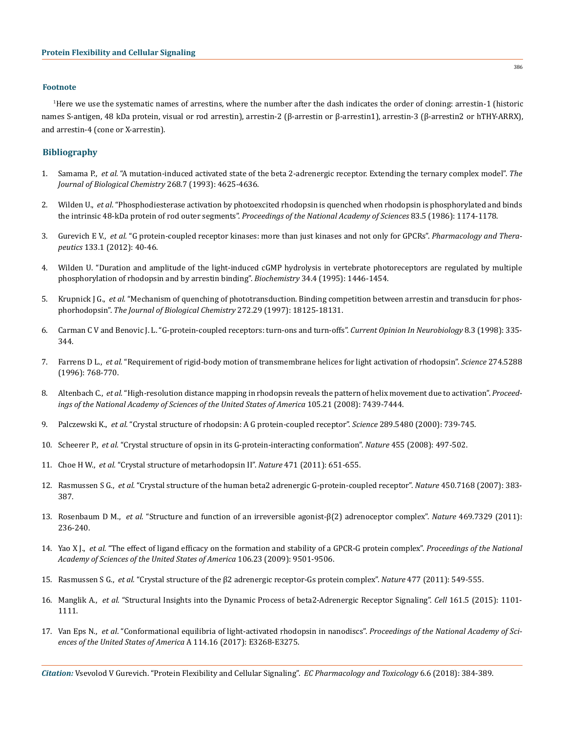#### **Footnote**

1 Here we use the systematic names of arrestins, where the number after the dash indicates the order of cloning: arrestin-1 (historic names S-antigen, 48 kDa protein, visual or rod arrestin), arrestin-2 (β-arrestin or β-arrestin1), arrestin-3 (β-arrestin2 or hTHY-ARRX), and arrestin-4 (cone or X-arrestin).

#### **Bibliography**

- 1. Samama P., *et al.* ["A mutation-induced activated state of the beta 2-adrenergic receptor. Extending the ternary complex model".](https://www.ncbi.nlm.nih.gov/pubmed/8095262) *The [Journal of Biological Chemistry](https://www.ncbi.nlm.nih.gov/pubmed/8095262)* 268.7 (1993): 4625-4636.
- 2. Wilden U., *et al*[. "Phosphodiesterase activation by photoexcited rhodopsin is quenched when rhodopsin is phosphorylated and binds](https://www.ncbi.nlm.nih.gov/pubmed/3006038)  the intrinsic 48-kDa protein of rod outer segments". *[Proceedings of the National Academy of Sciences](https://www.ncbi.nlm.nih.gov/pubmed/3006038)* 83.5 (1986): 1174-1178.
- 3. Gurevich E V., *et al.* ["G protein-coupled receptor kinases: more than just kinases and not only for GPCRs".](https://www.ncbi.nlm.nih.gov/pubmed/21903131) *Pharmacology and Therapeutics* [133.1 \(2012\): 40-46.](https://www.ncbi.nlm.nih.gov/pubmed/21903131)
- 4. [Wilden U. "Duration and amplitude of the light-induced cGMP hydrolysis in vertebrate photoreceptors are regulated by multiple](https://pubs.acs.org/doi/abs/10.1021/bi00004a040)  [phosphorylation of rhodopsin and by arrestin binding".](https://pubs.acs.org/doi/abs/10.1021/bi00004a040) *Biochemistry* 34.4 (1995): 1446-1454.
- 5. Krupnick J G., *et al.* ["Mechanism of quenching of phototransduction. Binding competition between arrestin and transducin for phos](https://www.ncbi.nlm.nih.gov/pubmed/9218446)phorhodopsin". *[The Journal of Biological Chemistry](https://www.ncbi.nlm.nih.gov/pubmed/9218446)* 272.29 (1997): 18125-18131.
- 6. [Carman C V and Benovic J. L. "G-protein-coupled receptors: turn-ons and turn-offs".](https://www.ncbi.nlm.nih.gov/pubmed/9687355) *Current Opinion In Neurobiology* 8.3 (1998): 335- [344.](https://www.ncbi.nlm.nih.gov/pubmed/9687355)
- 7. Farrens D L., *et al*[. "Requirement of rigid-body motion of transmembrane helices for light activation of rhodopsin".](https://www.ncbi.nlm.nih.gov/pubmed/8864113) *Science* 274.5288 [\(1996\): 768-770.](https://www.ncbi.nlm.nih.gov/pubmed/8864113)
- 8. Altenbach C., *et al.* ["High-resolution distance mapping in rhodopsin reveals the pattern of helix movement due to activation".](https://www.ncbi.nlm.nih.gov/pmc/articles/PMC2396682/) *Proceed[ings of the National Academy of Sciences of the United States of America](https://www.ncbi.nlm.nih.gov/pmc/articles/PMC2396682/)* 105.21 (2008): 7439-7444.
- 9. Palczewski K., *et al.* ["Crystal structure of rhodopsin: A G protein-coupled receptor".](https://www.ncbi.nlm.nih.gov/pubmed/10926528) *Science* 289.5480 (2000): 739-745.
- 10. Scheerer P., *et al.* ["Crystal structure of opsin in its G-protein-interacting conformation".](https://www.nature.com/articles/nature07330) *Nature* 455 (2008): 497-502.
- 11. Choe H W., *et al.* ["Crystal structure of metarhodopsin II".](https://www.nature.com/articles/nature09789) *Nature* 471 (2011): 651-655.
- 12. Rasmussen S G., *et al.* ["Crystal structure of the human beta2 adrenergic G-protein-coupled receptor".](https://www.ncbi.nlm.nih.gov/pubmed/17952055) *Nature* 450.7168 (2007): 383- [387.](https://www.ncbi.nlm.nih.gov/pubmed/17952055)
- 13. Rosenbaum D M., *et al.* ["Structure and function of an irreversible agonist-β\(2\) adrenoceptor complex".](https://www.ncbi.nlm.nih.gov/pubmed/21228876) *Nature* 469.7329 (2011): [236-240.](https://www.ncbi.nlm.nih.gov/pubmed/21228876)
- 14. Yao X J., *et al.* ["The effect of ligand efficacy on the formation and stability of a GPCR-G protein complex".](https://www.ncbi.nlm.nih.gov/pubmed/19470481) *Proceedings of the National [Academy of Sciences of the United States of America](https://www.ncbi.nlm.nih.gov/pubmed/19470481)* 106.23 (2009): 9501-9506.
- 15. Rasmussen S G., *et al.* ["Crystal structure of the β2 adrenergic receptor-Gs protein complex".](https://www.nature.com/articles/nature10361) *Nature* 477 (2011): 549-555.
- 16. Manglik A., *et al.* ["Structural Insights into the Dynamic Process of beta2-Adrenergic Receptor Signaling".](https://www.ncbi.nlm.nih.gov/pubmed/25981665) *Cell* 161.5 (2015): 1101- [1111.](https://www.ncbi.nlm.nih.gov/pubmed/25981665)
- 17. Van Eps N., *et al*[. "Conformational equilibria of light-activated rhodopsin in nanodiscs".](https://www.ncbi.nlm.nih.gov/pubmed/28373559) *Proceedings of the National Academy of Sci[ences of the United States of America](https://www.ncbi.nlm.nih.gov/pubmed/28373559)* A 114.16 (2017): E3268-E3275.

386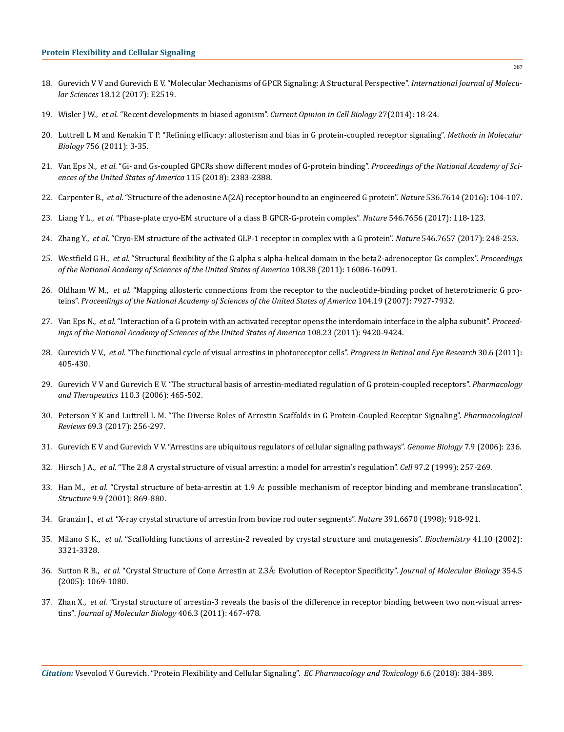- 18. [Gurevich V V and Gurevich E V. "Molecular Mechanisms of GPCR Signaling: A Structural Perspective".](https://www.ncbi.nlm.nih.gov/pubmed/29186792) *International Journal of Molecular Sciences* [18.12 \(2017\): E2519.](https://www.ncbi.nlm.nih.gov/pubmed/29186792)
- 19. Wisler J W., *et al*[. "Recent developments in biased agonism".](https://www.ncbi.nlm.nih.gov/pubmed/24680426) *Current Opinion in Cell Biology* 27(2014): 18-24.
- 20. [Luttrell L M and Kenakin T P. "Refining efficacy: allosterism and bias in G protein-coupled receptor signaling".](https://www.ncbi.nlm.nih.gov/pubmed/21870218) *Methods in Molecular Biology* [756 \(2011\): 3-35.](https://www.ncbi.nlm.nih.gov/pubmed/21870218)
- 21. Van Eps N., *et al.* ["Gi- and Gs-coupled GPCRs show different modes of G-protein binding".](http://www.pnas.org/content/early/2018/02/15/1721896115) *Proceedings of the National Academy of Sci[ences of the United States of America](http://www.pnas.org/content/early/2018/02/15/1721896115)* 115 (2018): 2383-2388.
- 22. Carpenter B., *et al.* ["Structure of the adenosine A\(2A\) receptor bound to an engineered G protein".](https://www.ncbi.nlm.nih.gov/pubmed/27462812) *Nature* 536.7614 (2016): 104-107.
- 23. Liang Y L., *et al.* ["Phase-plate cryo-EM structure of a class B GPCR-G-protein complex".](https://www.ncbi.nlm.nih.gov/pubmed/28437792) *Nature* 546.7656 (2017): 118-123.
- 24. Zhang Y., *et al.* ["Cryo-EM structure of the activated GLP-1 receptor in complex with a G protein".](https://www.ncbi.nlm.nih.gov/pubmed/28538729) *Nature* 546.7657 (2017): 248-253.
- 25. Westfield G H., *et al.* ["Structural flexibility of the G alpha s alpha-helical domain in the beta2-adrenoceptor Gs complex".](https://www.ncbi.nlm.nih.gov/pubmed/21914848) *Proceedings [of the National Academy of Sciences of the United States of America](https://www.ncbi.nlm.nih.gov/pubmed/21914848)* 108.38 (2011): 16086-16091.
- 26. Oldham W M., *et al.* ["Mapping allosteric connections from the receptor to the nucleotide-binding pocket of heterotrimeric G pro](https://www.ncbi.nlm.nih.gov/pubmed/17463080)teins". *[Proceedings of the National Academy of Sciences of the United States of America](https://www.ncbi.nlm.nih.gov/pubmed/17463080)* 104.19 (2007): 7927-7932.
- 27. Van Eps N., *et al.* ["Interaction of a G protein with an activated receptor opens the interdomain interface in the alpha subunit".](https://www.ncbi.nlm.nih.gov/pubmed/21606326) *Proceed[ings of the National Academy of Sciences of the United States of America](https://www.ncbi.nlm.nih.gov/pubmed/21606326)* 108.23 (2011): 9420-9424.
- 28. Gurevich V V., *et al.* ["The functional cycle of visual arrestins in photoreceptor cells".](https://www.ncbi.nlm.nih.gov/pubmed/21824527) *Progress in Retinal and Eye Research* 30.6 (2011): [405-430.](https://www.ncbi.nlm.nih.gov/pubmed/21824527)
- 29. [Gurevich V V and Gurevich E V. "The structural basis of arrestin-mediated regulation of G protein-coupled receptors".](https://www.ncbi.nlm.nih.gov/pubmed/16460808) *Pharmacology and Therapeutics* [110.3 \(2006\): 465-502.](https://www.ncbi.nlm.nih.gov/pubmed/16460808)
- 30. [Peterson Y K and Luttrell L M. "The Diverse Roles of Arrestin Scaffolds in G Protein-Coupled Receptor Signaling".](https://www.ncbi.nlm.nih.gov/pubmed/28626043) *Pharmacological Reviews* [69.3 \(2017\): 256-297.](https://www.ncbi.nlm.nih.gov/pubmed/28626043)
- 31. [Gurevich E V and Gurevich V V. "Arrestins are ubiquitous regulators of cellular signaling pathways".](https://www.ncbi.nlm.nih.gov/pubmed/17020596) *Genome Biology* 7.9 (2006): 236.
- 32. Hirsch J A., *et al.* ["The 2.8 A crystal structure of visual arrestin: a model for arrestin's regulation".](https://www.ncbi.nlm.nih.gov/pubmed/10219246) *Cell* 97.2 (1999): 257-269.
- 33. Han M., *et al*[. "Crystal structure of beta-arrestin at 1.9 A: possible mechanism of receptor binding and membrane translocation".](https://www.ncbi.nlm.nih.gov/pubmed/11566136)  *Structure* [9.9 \(2001\): 869-880.](https://www.ncbi.nlm.nih.gov/pubmed/11566136)
- 34. Granzin J., *et al.* ["X-ray crystal structure of arrestin from bovine rod outer segments".](https://www.ncbi.nlm.nih.gov/pubmed/9495348) *Nature* 391.6670 (1998): 918-921.
- 35. Milano S K., *et al.* ["Scaffolding functions of arrestin-2 revealed by crystal structure and mutagenesis".](https://www.ncbi.nlm.nih.gov/pubmed/11876640) *Biochemistry* 41.10 (2002): [3321-3328.](https://www.ncbi.nlm.nih.gov/pubmed/11876640)
- 36. Sutton R B., *et al.* ["Crystal Structure of Cone Arrestin at 2.3Å: Evolution of Receptor Specificity".](https://www.sciencedirect.com/science/article/pii/S0022283605012544) *Journal of Molecular Biology* 354.5 [\(2005\): 1069-1080.](https://www.sciencedirect.com/science/article/pii/S0022283605012544)
- 37. Zhan X., *et al. "*[Crystal structure of arrestin-3 reveals the basis of the difference in receptor binding between two non-visual arres](https://www.ncbi.nlm.nih.gov/pubmed/21215759)tins"*[. Journal of Molecular Biology](https://www.ncbi.nlm.nih.gov/pubmed/21215759)* 406.3 (2011): 467-478.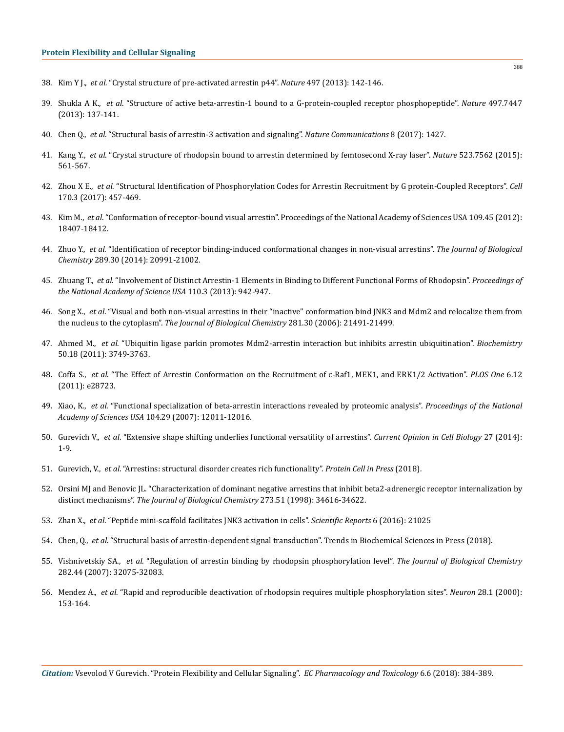- 38. Kim Y J., *et al.* ["Crystal structure of pre-activated arrestin p44".](https://www.nature.com/articles/nature12133) *Nature* 497 (2013): 142-146.
- 39. Shukla A K., *et al*[. "Structure of active beta-arrestin-1 bound to a G-protein-coupled receptor phosphopeptide".](https://www.ncbi.nlm.nih.gov/pubmed/23604254) *Nature* 497.7447 [\(2013\): 137-141.](https://www.ncbi.nlm.nih.gov/pubmed/23604254)
- 40. Chen Q., *et al.* ["Structural basis of arrestin-3 activation and signaling".](https://www.nature.com/articles/s41467-017-01218-8) *Nature Communications* 8 (2017): 1427.
- 41. Kang Y., *et al*[. "Crystal structure of rhodopsin bound to arrestin determined by femtosecond X-ray laser".](https://www.ncbi.nlm.nih.gov/pubmed/26200343) *Nature* 523.7562 (2015): [561-567.](https://www.ncbi.nlm.nih.gov/pubmed/26200343)
- 42. Zhou X E., *et al*[. "Structural Identification of Phosphorylation Codes for Arrestin Recruitment by G protein-Coupled Receptors".](https://www.ncbi.nlm.nih.gov/pubmed/28753425) *Cell* [170.3 \(2017\): 457-469.](https://www.ncbi.nlm.nih.gov/pubmed/28753425)
- 43. Kim M., *et al*[. "Conformation of receptor-bound visual arrestin". Proceedings of the National Academy of Sciences USA 109.45 \(2012\):](https://www.ncbi.nlm.nih.gov/pubmed/23091036) [18407-18412.](https://www.ncbi.nlm.nih.gov/pubmed/23091036)
- 44. Zhuo Y., *et al*[. "Identification of receptor binding-induced conformational changes in non-visual arrestins".](https://www.ncbi.nlm.nih.gov/pubmed/24867953) *The Journal of Biological Chemistry* [289.30 \(2014\): 20991-21002.](https://www.ncbi.nlm.nih.gov/pubmed/24867953)
- 45. Zhuang T., *et al*[. "Involvement of Distinct Arrestin-1 Elements in Binding to Different Functional Forms of Rhodopsin".](https://www.ncbi.nlm.nih.gov/pubmed/23277586) *Proceedings of [the National Academy of Science USA](https://www.ncbi.nlm.nih.gov/pubmed/23277586)* 110.3 (2013): 942-947.
- 46. Song X., *et al*[. "Visual and both non-visual arrestins in their "inactive" conformation bind JNK3 and Mdm2 and relocalize them from](https://www.ncbi.nlm.nih.gov/pmc/articles/PMC2430869/) the nucleus to the cytoplasm". *[The Journal of Biological Chemistry](https://www.ncbi.nlm.nih.gov/pmc/articles/PMC2430869/)* 281.30 (2006): 21491-21499.
- 47. Ahmed M., *et al*[. "Ubiquitin ligase parkin promotes Mdm2-arrestin interaction but inhibits arrestin ubiquitination".](https://www.ncbi.nlm.nih.gov/pubmed/21466165) *Biochemistry*  [50.18 \(2011\): 3749-3763.](https://www.ncbi.nlm.nih.gov/pubmed/21466165)
- 48. Coffa S., *et al*[. "The Effect of Arrestin Conformation on the Recruitment of c-Raf1, MEK1, and ERK1/2 Activation".](https://www.ncbi.nlm.nih.gov/pubmed/22174878) *PLOS One* 6.12 [\(2011\): e28723.](https://www.ncbi.nlm.nih.gov/pubmed/22174878)
- 49. Xiao, K., *et al*[. "Functional specialization of beta-arrestin interactions revealed by proteomic analysis".](https://www.ncbi.nlm.nih.gov/pubmed/17620599) *Proceedings of the National Academy of Sciences USA* [104.29 \(2007\): 12011-12016.](https://www.ncbi.nlm.nih.gov/pubmed/17620599)
- 50. Gurevich V., *et al*[. "Extensive shape shifting underlies functional versatility of arrestins".](https://www.ncbi.nlm.nih.gov/pubmed/24680424) *Current Opinion in Cell Biology* 27 (2014): [1-9.](https://www.ncbi.nlm.nih.gov/pubmed/24680424)
- 51. Gurevich, V., *et al*[. "Arrestins: structural disorder creates rich functionality".](https://www.ncbi.nlm.nih.gov/pubmed/29453740) *Protein Cell in Press* (2018).
- 52. [Orsini MJ and Benovic JL. "Characterization of dominant negative arrestins that inhibit beta2-adrenergic receptor internalization by](https://www.ncbi.nlm.nih.gov/pubmed/9852134) distinct mechanisms". *[The Journal of Biological Chemistry](https://www.ncbi.nlm.nih.gov/pubmed/9852134)* 273.51 (1998): 34616-34622.
- 53. Zhan X., *et al*[. "Peptide mini-scaffold facilitates JNK3 activation in cells".](https://www.ncbi.nlm.nih.gov/pubmed/26868142) *Scientific Reports* 6 (2016): 21025
- 54. Chen, Q., *et al*[. "Structural basis of arrestin-dependent signal transduction". Trends in Biochemical Sciences in Press \(2018\).](https://www.ncbi.nlm.nih.gov/pubmed/29636212)
- 55. Vishnivetskiy SA., *et al*[. "Regulation of arrestin binding by rhodopsin phosphorylation level".](https://www.ncbi.nlm.nih.gov/pmc/articles/PMC2638115/) *The Journal of Biological Chemistry* [282.44 \(2007\): 32075-32083.](https://www.ncbi.nlm.nih.gov/pmc/articles/PMC2638115/)
- 56. Mendez A., *et al*[. "Rapid and reproducible deactivation of rhodopsin requires multiple phosphorylation sites".](https://www.ncbi.nlm.nih.gov/pubmed/11086991) *Neuron* 28.1 (2000): [153-164.](https://www.ncbi.nlm.nih.gov/pubmed/11086991)